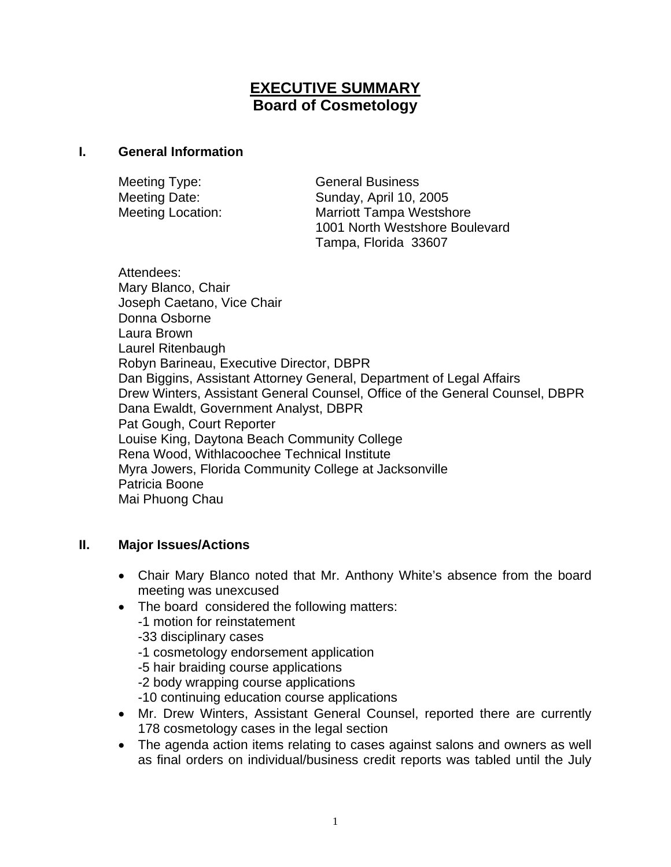# **EXECUTIVE SUMMARY Board of Cosmetology**

#### **I. General Information**

Meeting Type: General Business Meeting Date: Sunday, April 10, 2005 Meeting Location: Marriott Tampa Westshore 1001 North Westshore Boulevard Tampa, Florida 33607

Attendees: Mary Blanco, Chair Joseph Caetano, Vice Chair Donna Osborne Laura Brown Laurel Ritenbaugh Robyn Barineau, Executive Director, DBPR Dan Biggins, Assistant Attorney General, Department of Legal Affairs Drew Winters, Assistant General Counsel, Office of the General Counsel, DBPR Dana Ewaldt, Government Analyst, DBPR Pat Gough, Court Reporter Louise King, Daytona Beach Community College Rena Wood, Withlacoochee Technical Institute Myra Jowers, Florida Community College at Jacksonville Patricia Boone Mai Phuong Chau

### **II. Major Issues/Actions**

- Chair Mary Blanco noted that Mr. Anthony White's absence from the board meeting was unexcused
- The board considered the following matters:
	- -1 motion for reinstatement
	- -33 disciplinary cases
	- -1 cosmetology endorsement application
	- -5 hair braiding course applications
	- -2 body wrapping course applications
	- -10 continuing education course applications
- Mr. Drew Winters, Assistant General Counsel, reported there are currently 178 cosmetology cases in the legal section
- The agenda action items relating to cases against salons and owners as well as final orders on individual/business credit reports was tabled until the July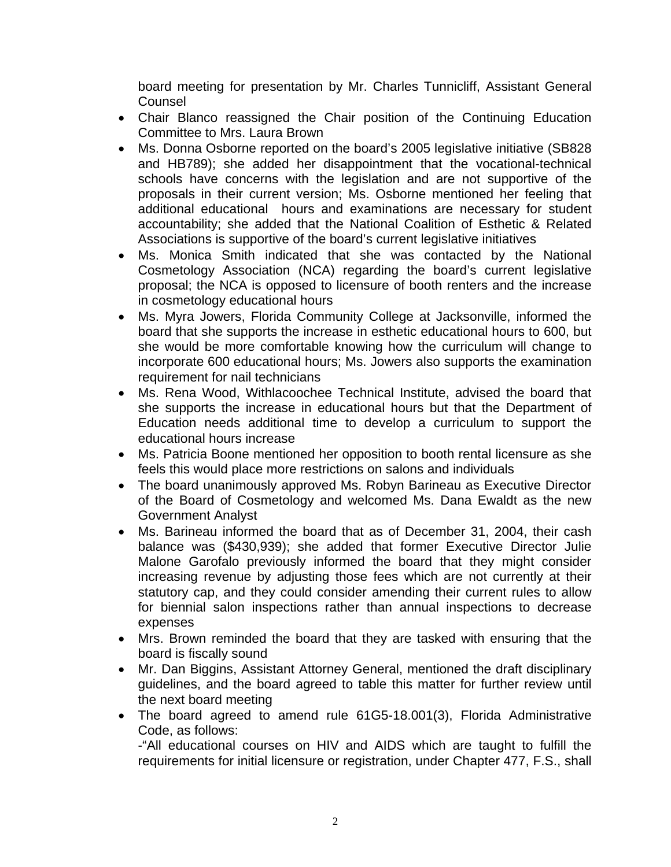board meeting for presentation by Mr. Charles Tunnicliff, Assistant General **Counsel** 

- Chair Blanco reassigned the Chair position of the Continuing Education Committee to Mrs. Laura Brown
- Ms. Donna Osborne reported on the board's 2005 legislative initiative (SB828 and HB789); she added her disappointment that the vocational-technical schools have concerns with the legislation and are not supportive of the proposals in their current version; Ms. Osborne mentioned her feeling that additional educational hours and examinations are necessary for student accountability; she added that the National Coalition of Esthetic & Related Associations is supportive of the board's current legislative initiatives
- Ms. Monica Smith indicated that she was contacted by the National Cosmetology Association (NCA) regarding the board's current legislative proposal; the NCA is opposed to licensure of booth renters and the increase in cosmetology educational hours
- Ms. Myra Jowers, Florida Community College at Jacksonville, informed the board that she supports the increase in esthetic educational hours to 600, but she would be more comfortable knowing how the curriculum will change to incorporate 600 educational hours; Ms. Jowers also supports the examination requirement for nail technicians
- Ms. Rena Wood, Withlacoochee Technical Institute, advised the board that she supports the increase in educational hours but that the Department of Education needs additional time to develop a curriculum to support the educational hours increase
- Ms. Patricia Boone mentioned her opposition to booth rental licensure as she feels this would place more restrictions on salons and individuals
- The board unanimously approved Ms. Robyn Barineau as Executive Director of the Board of Cosmetology and welcomed Ms. Dana Ewaldt as the new Government Analyst
- Ms. Barineau informed the board that as of December 31, 2004, their cash balance was (\$430,939); she added that former Executive Director Julie Malone Garofalo previously informed the board that they might consider increasing revenue by adjusting those fees which are not currently at their statutory cap, and they could consider amending their current rules to allow for biennial salon inspections rather than annual inspections to decrease expenses
- Mrs. Brown reminded the board that they are tasked with ensuring that the board is fiscally sound
- Mr. Dan Biggins, Assistant Attorney General, mentioned the draft disciplinary guidelines, and the board agreed to table this matter for further review until the next board meeting
- The board agreed to amend rule 61G5-18.001(3), Florida Administrative Code, as follows:

-"All educational courses on HIV and AIDS which are taught to fulfill the requirements for initial licensure or registration, under Chapter 477, F.S., shall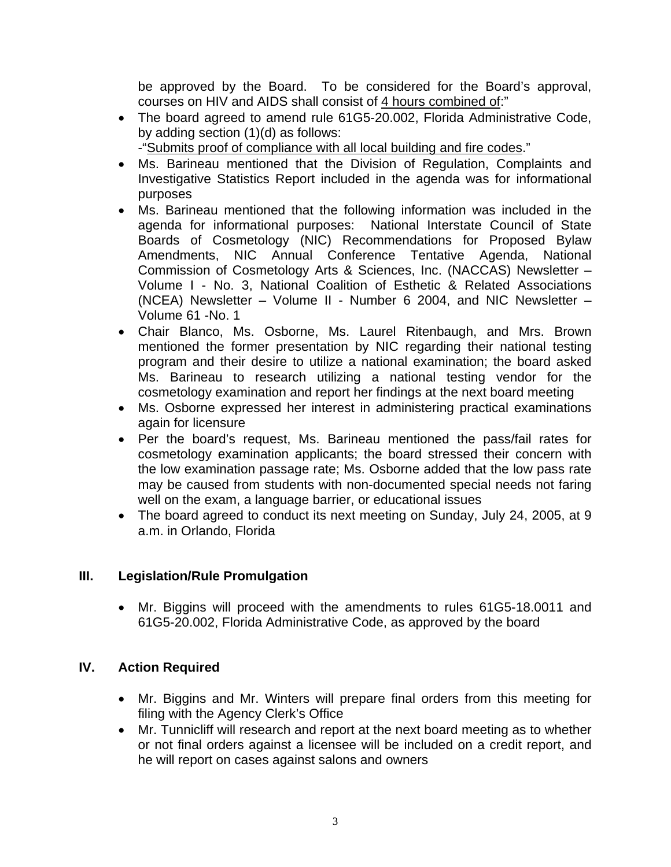be approved by the Board. To be considered for the Board's approval, courses on HIV and AIDS shall consist of 4 hours combined of:"

- The board agreed to amend rule 61G5-20.002, Florida Administrative Code, by adding section (1)(d) as follows:
- -"Submits proof of compliance with all local building and fire codes." • Ms. Barineau mentioned that the Division of Regulation, Complaints and
- Investigative Statistics Report included in the agenda was for informational purposes
- Ms. Barineau mentioned that the following information was included in the agenda for informational purposes: National Interstate Council of State Boards of Cosmetology (NIC) Recommendations for Proposed Bylaw Amendments, NIC Annual Conference Tentative Agenda, National Commission of Cosmetology Arts & Sciences, Inc. (NACCAS) Newsletter – Volume I - No. 3, National Coalition of Esthetic & Related Associations (NCEA) Newsletter – Volume II - Number 6 2004, and NIC Newsletter – Volume 61 -No. 1
- Chair Blanco, Ms. Osborne, Ms. Laurel Ritenbaugh, and Mrs. Brown mentioned the former presentation by NIC regarding their national testing program and their desire to utilize a national examination; the board asked Ms. Barineau to research utilizing a national testing vendor for the cosmetology examination and report her findings at the next board meeting
- Ms. Osborne expressed her interest in administering practical examinations again for licensure
- Per the board's request, Ms. Barineau mentioned the pass/fail rates for cosmetology examination applicants; the board stressed their concern with the low examination passage rate; Ms. Osborne added that the low pass rate may be caused from students with non-documented special needs not faring well on the exam, a language barrier, or educational issues
- The board agreed to conduct its next meeting on Sunday, July 24, 2005, at 9 a.m. in Orlando, Florida

## **III. Legislation/Rule Promulgation**

• Mr. Biggins will proceed with the amendments to rules 61G5-18.0011 and 61G5-20.002, Florida Administrative Code, as approved by the board

## **IV. Action Required**

- Mr. Biggins and Mr. Winters will prepare final orders from this meeting for filing with the Agency Clerk's Office
- Mr. Tunnicliff will research and report at the next board meeting as to whether or not final orders against a licensee will be included on a credit report, and he will report on cases against salons and owners